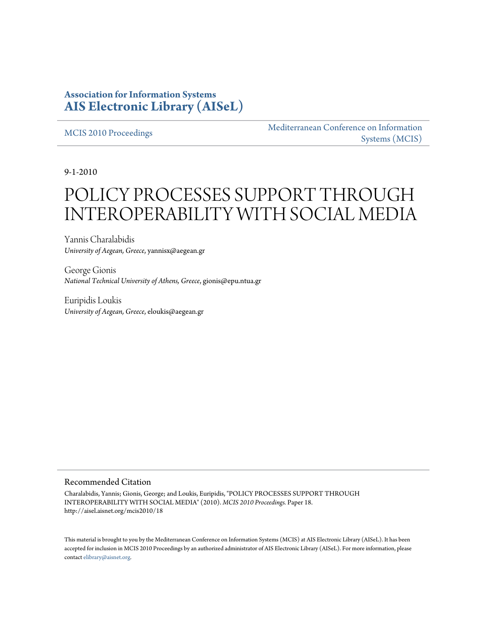## **Association for Information Systems [AIS Electronic Library \(AISeL\)](http://aisel.aisnet.org)**

[MCIS 2010 Proceedings](http://aisel.aisnet.org/mcis2010) [Mediterranean Conference on Information](http://aisel.aisnet.org/mcis) [Systems \(MCIS\)](http://aisel.aisnet.org/mcis)

9-1-2010

# POLICY PROCESSES SUPPORT THROUGH INTEROPERABILITY WITH SOCIAL MEDIA

Yannis Charalabidis *University of Aegean, Greece*, yannisx@aegean.gr

George Gionis *National Technical University of Athens, Greece*, gionis@epu.ntua.gr

Euripidis Loukis *University of Aegean, Greece*, eloukis@aegean.gr

#### Recommended Citation

Charalabidis, Yannis; Gionis, George; and Loukis, Euripidis, "POLICY PROCESSES SUPPORT THROUGH INTEROPERABILITY WITH SOCIAL MEDIA" (2010). *MCIS 2010 Proceedings.* Paper 18. http://aisel.aisnet.org/mcis2010/18

This material is brought to you by the Mediterranean Conference on Information Systems (MCIS) at AIS Electronic Library (AISeL). It has been accepted for inclusion in MCIS 2010 Proceedings by an authorized administrator of AIS Electronic Library (AISeL). For more information, please contact [elibrary@aisnet.org.](mailto:elibrary@aisnet.org>)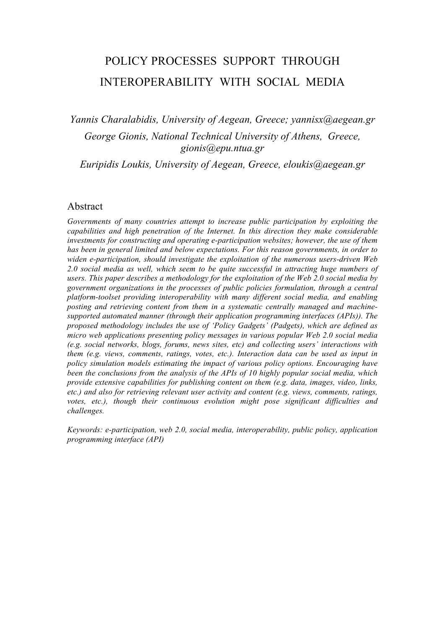## POLICY PROCESSES SUPPORT THROUGH INTEROPERABILITY WITH SOCIAL MEDIA

*Yannis Charalabidis, University of Aegean, Greece; yannisx@aegean.gr George Gionis, National Technical University of Athens, Greece, gionis@epu.ntua.gr*

*Euripidis Loukis, University of Aegean, Greece, eloukis@aegean.gr*

#### Abstract

*Governments of many countries attempt to increase public participation by exploiting the capabilities and high penetration of the Internet. In this direction they make considerable investments for constructing and operating e-participation websites; however, the use of them has been in general limited and below expectations. For this reason governments, in order to widen e-participation, should investigate the exploitation of the numerous users-driven Web 2.0 social media as well, which seem to be quite successful in attracting huge numbers of users. This paper describes a methodology for the exploitation of the Web 2.0 social media by government organizations in the processes of public policies formulation, through a central platform-toolset providing interoperability with many different social media, and enabling posting and retrieving content from them in a systematic centrally managed and machinesupported automated manner (through their application programming interfaces (APIs)). The proposed methodology includes the use of 'Policy Gadgets' (Padgets), which are defined as micro web applications presenting policy messages in various popular Web 2.0 social media (e.g. social networks, blogs, forums, news sites, etc) and collecting users' interactions with them (e.g. views, comments, ratings, votes, etc.). Interaction data can be used as input in policy simulation models estimating the impact of various policy options. Encouraging have been the conclusions from the analysis of the APIs of 10 highly popular social media, which provide extensive capabilities for publishing content on them (e.g. data, images, video, links, etc.) and also for retrieving relevant user activity and content (e.g. views, comments, ratings, votes, etc.), though their continuous evolution might pose significant difficulties and challenges.*

*Keywords: e-participation, web 2.0, social media, interoperability, public policy, application programming interface (API)*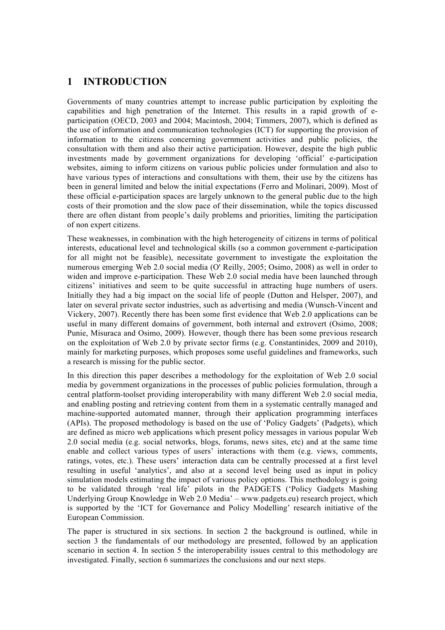## **1 INTRODUCTION**

Governments of many countries attempt to increase public participation by exploiting the capabilities and high penetration of the Internet. This results in a rapid growth of eparticipation (OECD, 2003 and 2004; Macintosh, 2004; Timmers, 2007), which is defined as the use of information and communication technologies (ICT) for supporting the provision of information to the citizens concerning government activities and public policies, the consultation with them and also their active participation. However, despite the high public investments made by government organizations for developing 'official' e-participation websites, aiming to inform citizens on various public policies under formulation and also to have various types of interactions and consultations with them, their use by the citizens has been in general limited and below the initial expectations (Ferro and Molinari, 2009). Most of these official e-participation spaces are largely unknown to the general public due to the high costs of their promotion and the slow pace of their dissemination, while the topics discussed there are often distant from people's daily problems and priorities, limiting the participation of non expert citizens.

These weaknesses, in combination with the high heterogeneity of citizens in terms of political interests, educational level and technological skills (so a common government e-participation for all might not be feasible), necessitate government to investigate the exploitation the numerous emerging Web 2.0 social media (O' Reilly, 2005; Osimo, 2008) as well in order to widen and improve e-participation. These Web 2.0 social media have been launched through citizens' initiatives and seem to be quite successful in attracting huge numbers of users. Initially they had a big impact on the social life of people (Dutton and Helsper, 2007), and later on several private sector industries, such as advertising and media (Wunsch-Vincent and Vickery, 2007). Recently there has been some first evidence that Web 2.0 applications can be useful in many different domains of government, both internal and extrovert (Osimo, 2008; Punie, Misuraca and Osimo, 2009). However, though there has been some previous research on the exploitation of Web 2.0 by private sector firms (e.g. Constantinides, 2009 and 2010), mainly for marketing purposes, which proposes some useful guidelines and frameworks, such a research is missing for the public sector.

In this direction this paper describes a methodology for the exploitation of Web 2.0 social media by government organizations in the processes of public policies formulation, through a central platform-toolset providing interoperability with many different Web 2.0 social media, and enabling posting and retrieving content from them in a systematic centrally managed and machine-supported automated manner, through their application programming interfaces (APIs). The proposed methodology is based on the use of 'Policy Gadgets' (Padgets), which are defined as micro web applications which present policy messages in various popular Web 2.0 social media (e.g. social networks, blogs, forums, news sites, etc) and at the same time enable and collect various types of users' interactions with them (e.g. views, comments, ratings, votes, etc.). These users' interaction data can be centrally processed at a first level resulting in useful 'analytics', and also at a second level being used as input in policy simulation models estimating the impact of various policy options. This methodology is going to be validated through 'real life' pilots in the PADGETS ('Policy Gadgets Mashing Underlying Group Knowledge in Web 2.0 Media' – www.padgets.eu) research project, which is supported by the 'ICT for Governance and Policy Modelling' research initiative of the European Commission.

The paper is structured in six sections. In section 2 the background is outlined, while in section 3 the fundamentals of our methodology are presented, followed by an application scenario in section 4. In section 5 the interoperability issues central to this methodology are investigated. Finally, section 6 summarizes the conclusions and our next steps.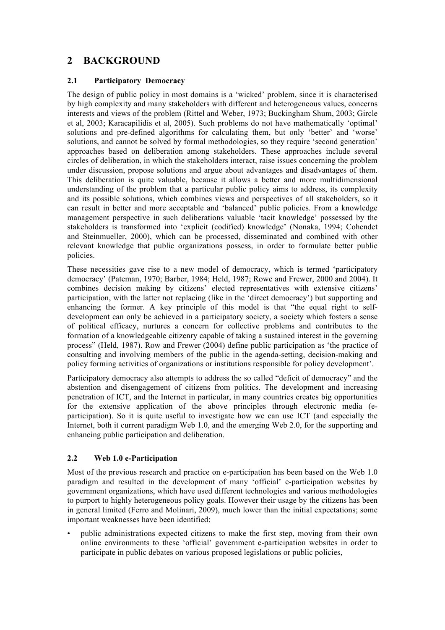## **2 BACKGROUND**

#### **2.1 Participatory Democracy**

The design of public policy in most domains is a 'wicked' problem, since it is characterised by high complexity and many stakeholders with different and heterogeneous values, concerns interests and views of the problem (Rittel and Weber, 1973; Buckingham Shum, 2003; Gircle et al, 2003; Karacapilidis et al, 2005). Such problems do not have mathematically 'optimal' solutions and pre-defined algorithms for calculating them, but only 'better' and 'worse' solutions, and cannot be solved by formal methodologies, so they require 'second generation' approaches based on deliberation among stakeholders. These approaches include several circles of deliberation, in which the stakeholders interact, raise issues concerning the problem under discussion, propose solutions and argue about advantages and disadvantages of them. This deliberation is quite valuable, because it allows a better and more multidimensional understanding of the problem that a particular public policy aims to address, its complexity and its possible solutions, which combines views and perspectives of all stakeholders, so it can result in better and more acceptable and 'balanced' public policies. From a knowledge management perspective in such deliberations valuable 'tacit knowledge' possessed by the stakeholders is transformed into 'explicit (codified) knowledge' (Nonaka, 1994; Cohendet and Steinmueller, 2000), which can be processed, disseminated and combined with other relevant knowledge that public organizations possess, in order to formulate better public policies.

These necessities gave rise to a new model of democracy, which is termed 'participatory democracy' (Pateman, 1970; Barber, 1984; Held, 1987; Rowe and Frewer, 2000 and 2004). It combines decision making by citizens' elected representatives with extensive citizens' participation, with the latter not replacing (like in the 'direct democracy') but supporting and enhancing the former. A key principle of this model is that "the equal right to selfdevelopment can only be achieved in a participatory society, a society which fosters a sense of political efficacy, nurtures a concern for collective problems and contributes to the formation of a knowledgeable citizenry capable of taking a sustained interest in the governing process" (Held, 1987). Row and Frewer (2004) define public participation as 'the practice of consulting and involving members of the public in the agenda-setting, decision-making and policy forming activities of organizations or institutions responsible for policy development'.

Participatory democracy also attempts to address the so called "deficit of democracy" and the abstention and disengagement of citizens from politics. The development and increasing penetration of ICT, and the Internet in particular, in many countries creates big opportunities for the extensive application of the above principles through electronic media (eparticipation). So it is quite useful to investigate how we can use ICT (and especially the Internet, both it current paradigm Web 1.0, and the emerging Web 2.0, for the supporting and enhancing public participation and deliberation.

#### **2.2 Web 1.0 e-Participation**

Most of the previous research and practice on e-participation has been based on the Web 1.0 paradigm and resulted in the development of many 'official' e-participation websites by government organizations, which have used different technologies and various methodologies to purport to highly heterogeneous policy goals. However their usage by the citizens has been in general limited (Ferro and Molinari, 2009), much lower than the initial expectations; some important weaknesses have been identified:

• public administrations expected citizens to make the first step, moving from their own online environments to these 'official' government e-participation websites in order to participate in public debates on various proposed legislations or public policies,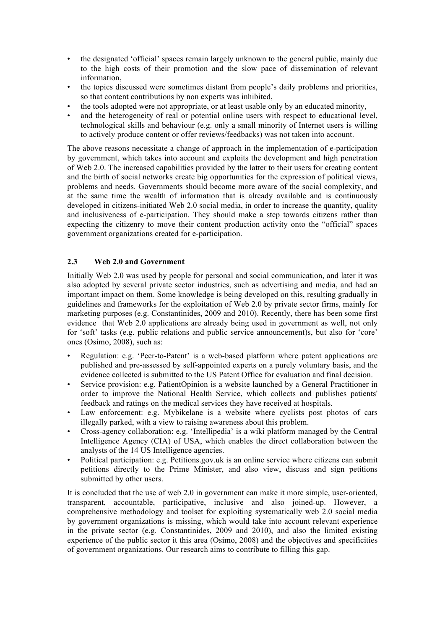- the designated 'official' spaces remain largely unknown to the general public, mainly due to the high costs of their promotion and the slow pace of dissemination of relevant information,
- the topics discussed were sometimes distant from people's daily problems and priorities, so that content contributions by non experts was inhibited,
- the tools adopted were not appropriate, or at least usable only by an educated minority,
- and the heterogeneity of real or potential online users with respect to educational level, technological skills and behaviour (e.g. only a small minority of Internet users is willing to actively produce content or offer reviews/feedbacks) was not taken into account.

The above reasons necessitate a change of approach in the implementation of e-participation by government, which takes into account and exploits the development and high penetration of Web 2.0. The increased capabilities provided by the latter to their users for creating content and the birth of social networks create big opportunities for the expression of political views, problems and needs. Governments should become more aware of the social complexity, and at the same time the wealth of information that is already available and is continuously developed in citizens-initiated Web 2.0 social media, in order to increase the quantity, quality and inclusiveness of e-participation. They should make a step towards citizens rather than expecting the citizenry to move their content production activity onto the "official" spaces government organizations created for e-participation.

#### **2.3 Web 2.0 and Government**

Initially Web 2.0 was used by people for personal and social communication, and later it was also adopted by several private sector industries, such as advertising and media, and had an important impact on them. Some knowledge is being developed on this, resulting gradually in guidelines and frameworks for the exploitation of Web 2.0 by private sector firms, mainly for marketing purposes (e.g. Constantinides, 2009 and 2010). Recently, there has been some first evidence that Web 2.0 applications are already being used in government as well, not only for 'soft' tasks (e.g. public relations and public service announcement)s, but also for 'core' ones (Osimo, 2008), such as:

- Regulation: e.g. 'Peer-to-Patent' is a web-based platform where patent applications are published and pre-assessed by self-appointed experts on a purely voluntary basis, and the evidence collected is submitted to the US Patent Office for evaluation and final decision.
- Service provision: e.g. PatientOpinion is a website launched by a General Practitioner in order to improve the National Health Service, which collects and publishes patients' feedback and ratings on the medical services they have received at hospitals.
- Law enforcement: e.g. Mybikelane is a website where cyclists post photos of cars illegally parked, with a view to raising awareness about this problem.
- Cross-agency collaboration: e.g. 'Intellipedia' is a wiki platform managed by the Central Intelligence Agency (CIA) of USA, which enables the direct collaboration between the analysts of the 14 US Intelligence agencies.
- Political participation: e.g. Petitions.gov.uk is an online service where citizens can submit petitions directly to the Prime Minister, and also view, discuss and sign petitions submitted by other users.

It is concluded that the use of web 2.0 in government can make it more simple, user-oriented, transparent, accountable, participative, inclusive and also joined-up. However, a comprehensive methodology and toolset for exploiting systematically web 2.0 social media by government organizations is missing, which would take into account relevant experience in the private sector (e.g. Constantinides, 2009 and 2010), and also the limited existing experience of the public sector it this area (Osimo, 2008) and the objectives and specificities of government organizations. Our research aims to contribute to filling this gap.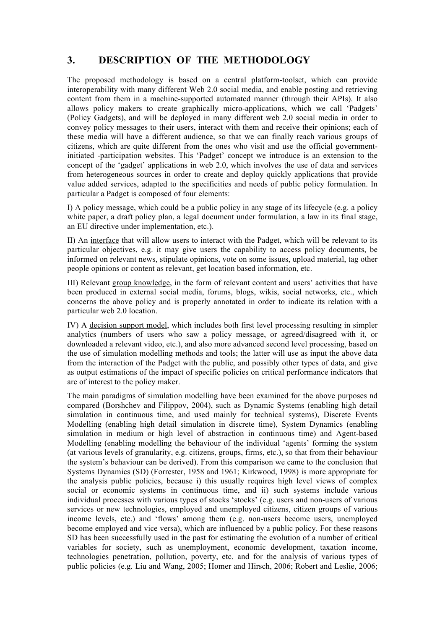## **3. DESCRIPTION OF THE METHODOLOGY**

The proposed methodology is based on a central platform-toolset, which can provide interoperability with many different Web 2.0 social media, and enable posting and retrieving content from them in a machine-supported automated manner (through their APIs). It also allows policy makers to create graphically micro-applications, which we call 'Padgets' (Policy Gadgets), and will be deployed in many different web 2.0 social media in order to convey policy messages to their users, interact with them and receive their opinions; each of these media will have a different audience, so that we can finally reach various groups of citizens, which are quite different from the ones who visit and use the official governmentinitiated -participation websites. This 'Padget' concept we introduce is an extension to the concept of the 'gadget' applications in web 2.0, which involves the use of data and services from heterogeneous sources in order to create and deploy quickly applications that provide value added services, adapted to the specificities and needs of public policy formulation. In particular a Padget is composed of four elements:

I) A policy message, which could be a public policy in any stage of its lifecycle (e.g. a policy white paper, a draft policy plan, a legal document under formulation, a law in its final stage, an EU directive under implementation, etc.).

II) An interface that will allow users to interact with the Padget, which will be relevant to its particular objectives, e.g. it may give users the capability to access policy documents, be informed on relevant news, stipulate opinions, vote on some issues, upload material, tag other people opinions or content as relevant, get location based information, etc.

III) Relevant group knowledge, in the form of relevant content and users' activities that have been produced in external social media, forums, blogs, wikis, social networks, etc., which concerns the above policy and is properly annotated in order to indicate its relation with a particular web 2.0 location.

IV) A decision support model, which includes both first level processing resulting in simpler analytics (numbers of users who saw a policy message, or agreed/disagreed with it, or downloaded a relevant video, etc.), and also more advanced second level processing, based on the use of simulation modelling methods and tools; the latter will use as input the above data from the interaction of the Padget with the public, and possibly other types of data, and give as output estimations of the impact of specific policies on critical performance indicators that are of interest to the policy maker.

The main paradigms of simulation modelling have been examined for the above purposes nd compared (Borshchev and Filippov, 2004), such as Dynamic Systems (enabling high detail simulation in continuous time, and used mainly for technical systems), Discrete Events Modelling (enabling high detail simulation in discrete time), System Dynamics (enabling simulation in medium or high level of abstraction in continuous time) and Agent-based Modelling (enabling modelling the behaviour of the individual 'agents' forming the system (at various levels of granularity, e.g. citizens, groups, firms, etc.), so that from their behaviour the system's behaviour can be derived). From this comparison we came to the conclusion that Systems Dynamics (SD) (Forrester, 1958 and 1961; Kirkwood, 1998) is more appropriate for the analysis public policies, because i) this usually requires high level views of complex social or economic systems in continuous time, and ii) such systems include various individual processes with various types of stocks 'stocks' (e.g. users and non-users of various services or new technologies, employed and unemployed citizens, citizen groups of various income levels, etc.) and 'flows' among them (e.g. non-users become users, unemployed become employed and vice versa), which are influenced by a public policy. For these reasons SD has been successfully used in the past for estimating the evolution of a number of critical variables for society, such as unemployment, economic development, taxation income, technologies penetration, pollution, poverty, etc. and for the analysis of various types of public policies (e.g. Liu and Wang, 2005; Homer and Hirsch, 2006; Robert and Leslie, 2006;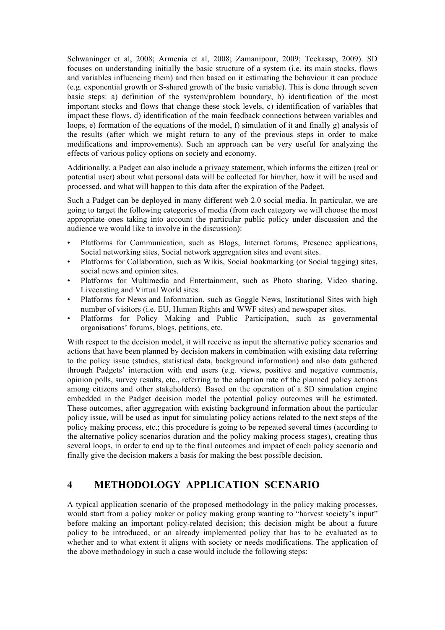Schwaninger et al, 2008; Armenia et al, 2008; Zamanipour, 2009; Teekasap, 2009). SD focuses on understanding initially the basic structure of a system (i.e. its main stocks, flows and variables influencing them) and then based on it estimating the behaviour it can produce (e.g. exponential growth or S-shared growth of the basic variable). This is done through seven basic steps: a) definition of the system/problem boundary, b) identification of the most important stocks and flows that change these stock levels, c) identification of variables that impact these flows, d) identification of the main feedback connections between variables and loops, e) formation of the equations of the model, f) simulation of it and finally g) analysis of the results (after which we might return to any of the previous steps in order to make modifications and improvements). Such an approach can be very useful for analyzing the effects of various policy options on society and economy.

Additionally, a Padget can also include a privacy statement, which informs the citizen (real or potential user) about what personal data will be collected for him/her, how it will be used and processed, and what will happen to this data after the expiration of the Padget.

Such a Padget can be deployed in many different web 2.0 social media. In particular, we are going to target the following categories of media (from each category we will choose the most appropriate ones taking into account the particular public policy under discussion and the audience we would like to involve in the discussion):

- Platforms for Communication, such as Blogs, Internet forums, Presence applications, Social networking sites, Social network aggregation sites and event sites.
- Platforms for Collaboration, such as Wikis, Social bookmarking (or Social tagging) sites, social news and opinion sites.
- Platforms for Multimedia and Entertainment, such as Photo sharing, Video sharing, Livecasting and Virtual World sites.
- Platforms for News and Information, such as Goggle News, Institutional Sites with high number of visitors (i.e. EU, Human Rights and WWF sites) and newspaper sites.
- Platforms for Policy Making and Public Participation, such as governmental organisations' forums, blogs, petitions, etc.

With respect to the decision model, it will receive as input the alternative policy scenarios and actions that have been planned by decision makers in combination with existing data referring to the policy issue (studies, statistical data, background information) and also data gathered through Padgets' interaction with end users (e.g. views, positive and negative comments, opinion polls, survey results, etc., referring to the adoption rate of the planned policy actions among citizens and other stakeholders). Based on the operation of a SD simulation engine embedded in the Padget decision model the potential policy outcomes will be estimated. These outcomes, after aggregation with existing background information about the particular policy issue, will be used as input for simulating policy actions related to the next steps of the policy making process, etc.; this procedure is going to be repeated several times (according to the alternative policy scenarios duration and the policy making process stages), creating thus several loops, in order to end up to the final outcomes and impact of each policy scenario and finally give the decision makers a basis for making the best possible decision.

## **4 METHODOLOGY APPLICATION SCENARIO**

A typical application scenario of the proposed methodology in the policy making processes, would start from a policy maker or policy making group wanting to "harvest society's input" before making an important policy-related decision; this decision might be about a future policy to be introduced, or an already implemented policy that has to be evaluated as to whether and to what extent it aligns with society or needs modifications. The application of the above methodology in such a case would include the following steps: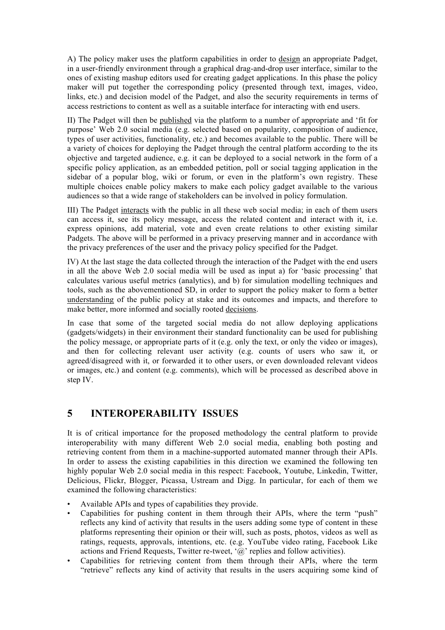A) The policy maker uses the platform capabilities in order to design an appropriate Padget, in a user-friendly environment through a graphical drag-and-drop user interface, similar to the ones of existing mashup editors used for creating gadget applications. In this phase the policy maker will put together the corresponding policy (presented through text, images, video, links, etc.) and decision model of the Padget, and also the security requirements in terms of access restrictions to content as well as a suitable interface for interacting with end users.

II) The Padget will then be published via the platform to a number of appropriate and 'fit for purpose' Web 2.0 social media (e.g. selected based on popularity, composition of audience, types of user activities, functionality, etc.) and becomes available to the public. There will be a variety of choices for deploying the Padget through the central platform according to the its objective and targeted audience, e.g. it can be deployed to a social network in the form of a specific policy application, as an embedded petition, poll or social tagging application in the sidebar of a popular blog, wiki or forum, or even in the platform's own registry. These multiple choices enable policy makers to make each policy gadget available to the various audiences so that a wide range of stakeholders can be involved in policy formulation.

III) The Padget interacts with the public in all these web social media; in each of them users can access it, see its policy message, access the related content and interact with it, i.e. express opinions, add material, vote and even create relations to other existing similar Padgets. The above will be performed in a privacy preserving manner and in accordance with the privacy preferences of the user and the privacy policy specified for the Padget.

IV) At the last stage the data collected through the interaction of the Padget with the end users in all the above Web 2.0 social media will be used as input a) for 'basic processing' that calculates various useful metrics (analytics), and b) for simulation modelling techniques and tools, such as the abovementioned SD, in order to support the policy maker to form a better understanding of the public policy at stake and its outcomes and impacts, and therefore to make better, more informed and socially rooted decisions.

In case that some of the targeted social media do not allow deploying applications (gadgets/widgets) in their environment their standard functionality can be used for publishing the policy message, or appropriate parts of it (e.g. only the text, or only the video or images), and then for collecting relevant user activity (e.g. counts of users who saw it, or agreed/disagreed with it, or forwarded it to other users, or even downloaded relevant videos or images, etc.) and content (e.g. comments), which will be processed as described above in step IV.

## **5 INTEROPERABILITY ISSUES**

It is of critical importance for the proposed methodology the central platform to provide interoperability with many different Web 2.0 social media, enabling both posting and retrieving content from them in a machine-supported automated manner through their APIs. In order to assess the existing capabilities in this direction we examined the following ten highly popular Web 2.0 social media in this respect: Facebook, Youtube, Linkedin, Twitter, Delicious, Flickr, Blogger, Picassa, Ustream and Digg. In particular, for each of them we examined the following characteristics:

- Available APIs and types of capabilities they provide.
- Capabilities for pushing content in them through their APIs, where the term "push" reflects any kind of activity that results in the users adding some type of content in these platforms representing their opinion or their will, such as posts, photos, videos as well as ratings, requests, approvals, intentions, etc. (e.g. YouTube video rating, Facebook Like actions and Friend Requests, Twitter re-tweet, '@' replies and follow activities).
- Capabilities for retrieving content from them through their APIs, where the term "retrieve" reflects any kind of activity that results in the users acquiring some kind of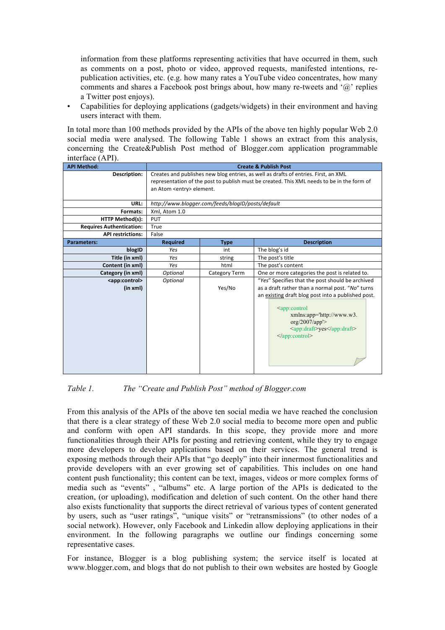information from these platforms representing activities that have occurred in them, such as comments on a post, photo or video, approved requests, manifested intentions, republication activities, etc. (e.g. how many rates a YouTube video concentrates, how many comments and shares a Facebook post brings about, how many re-tweets and '@' replies a Twitter post enjoys).

• Capabilities for deploying applications (gadgets/widgets) in their environment and having users interact with them.

In total more than 100 methods provided by the APIs of the above ten highly popular Web 2.0 social media were analysed. The following Table 1 shows an extract from this analysis, concerning the Create&Publish Post method of Blogger.com application programmable interface (API).

| <b>API Method:</b>              | <b>Create &amp; Publish Post</b>                                                           |                      |                                                                                                                                                                      |
|---------------------------------|--------------------------------------------------------------------------------------------|----------------------|----------------------------------------------------------------------------------------------------------------------------------------------------------------------|
| Description:                    | Creates and publishes new blog entries, as well as drafts of entries. First, an XML        |                      |                                                                                                                                                                      |
|                                 | representation of the post to publish must be created. This XML needs to be in the form of |                      |                                                                                                                                                                      |
|                                 | an Atom <entry> element.</entry>                                                           |                      |                                                                                                                                                                      |
|                                 |                                                                                            |                      |                                                                                                                                                                      |
| URL:                            | http://www.blogger.com/feeds/blogID/posts/default                                          |                      |                                                                                                                                                                      |
| Formats:                        | Xml, Atom 1.0                                                                              |                      |                                                                                                                                                                      |
| <b>HTTP Method(s):</b>          | <b>PUT</b>                                                                                 |                      |                                                                                                                                                                      |
| <b>Requires Authentication:</b> | True                                                                                       |                      |                                                                                                                                                                      |
| <b>API restrictions:</b>        | False                                                                                      |                      |                                                                                                                                                                      |
| <b>Parameters:</b>              | <b>Required</b>                                                                            | <b>Type</b>          | <b>Description</b>                                                                                                                                                   |
| blogID                          | Yes                                                                                        | int                  | The blog's id                                                                                                                                                        |
| Title (in xml)                  | Yes                                                                                        | string               | The post's title                                                                                                                                                     |
| Content (in xml)                | Yes                                                                                        | html                 | The post's content                                                                                                                                                   |
| Category (in xml)               | Optional                                                                                   | <b>Category Term</b> | One or more categories the post is related to.                                                                                                                       |
| <app:control></app:control>     | Optional                                                                                   |                      | "Yes" Specifies that the post should be archived                                                                                                                     |
| (in xml)                        |                                                                                            | Yes/No               | as a draft rather than a normal post. "No" turns                                                                                                                     |
|                                 |                                                                                            |                      | an existing draft blog post into a published post.                                                                                                                   |
|                                 |                                                                                            |                      | <app:control<br><math>xmlns:app='http://www.w3.</math><br/>org/2007/app'&gt;<br/><app:draft>yes</app:draft><br/><math>\langle</math>app:control&gt;</app:control<br> |

#### *Table 1. The "Create and Publish Post" method of Blogger.com*

From this analysis of the APIs of the above ten social media we have reached the conclusion that there is a clear strategy of these Web 2.0 social media to become more open and public and conform with open API standards. In this scope, they provide more and more functionalities through their APIs for posting and retrieving content, while they try to engage more developers to develop applications based on their services. The general trend is exposing methods through their APIs that "go deeply" into their innermost functionalities and provide developers with an ever growing set of capabilities. This includes on one hand content push functionality; this content can be text, images, videos or more complex forms of media such as "events" , "albums" etc. A large portion of the APIs is dedicated to the creation, (or uploading), modification and deletion of such content. On the other hand there also exists functionality that supports the direct retrieval of various types of content generated by users, such as "user ratings", "unique visits" or "retransmissions" (to other nodes of a social network). However, only Facebook and Linkedin allow deploying applications in their environment. In the following paragraphs we outline our findings concerning some representative cases.

For instance, Blogger is a blog publishing system; the service itself is located at www.blogger.com, and blogs that do not publish to their own websites are hosted by Google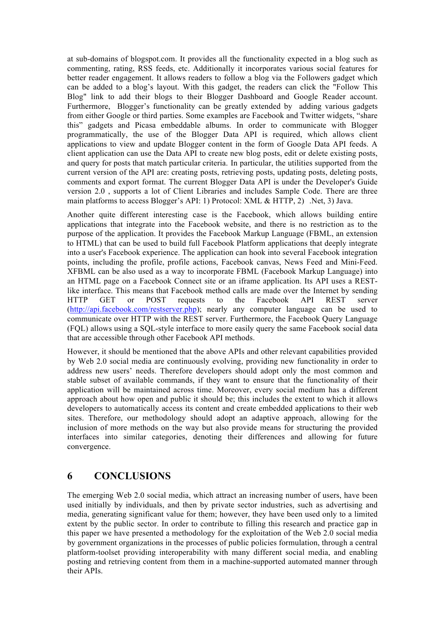at sub-domains of blogspot.com. It provides all the functionality expected in a blog such as commenting, rating, RSS feeds, etc. Additionally it incorporates various social features for better reader engagement. It allows readers to follow a blog via the Followers gadget which can be added to a blog's layout. With this gadget, the readers can click the "Follow This Blog" link to add their blogs to their Blogger Dashboard and Google Reader account. Furthermore, Blogger's functionality can be greatly extended by adding various gadgets from either Google or third parties. Some examples are Facebook and Twitter widgets, "share this" gadgets and Picasa embeddable albums. In order to communicate with Blogger programmatically, the use of the Blogger Data API is required, which allows client applications to view and update Blogger content in the form of Google Data API feeds. A client application can use the Data API to create new blog posts, edit or delete existing posts, and query for posts that match particular criteria. In particular, the utilities supported from the current version of the API are: creating posts, retrieving posts, updating posts, deleting posts, comments and export format. The current Blogger Data API is under the Developer's Guide version 2.0 , supports a lot of Client Libraries and includes Sample Code. There are three main platforms to access Blogger's API: 1) Protocol: XML & HTTP, 2) .Net, 3) Java.

Another quite different interesting case is the Facebook, which allows building entire applications that integrate into the Facebook website, and there is no restriction as to the purpose of the application. It provides the Facebook Markup Language (FBML, an extension to HTML) that can be used to build full Facebook Platform applications that deeply integrate into a user's Facebook experience. The application can hook into several Facebook integration points, including the profile, profile actions, Facebook canvas, News Feed and Mini-Feed. XFBML can be also used as a way to incorporate FBML (Facebook Markup Language) into an HTML page on a Facebook Connect site or an iframe application. Its API uses a RESTlike interface. This means that Facebook method calls are made over the Internet by sending HTTP GET or POST requests to the Facebook API REST server (http://api.facebook.com/restserver.php); nearly any computer language can be used to communicate over HTTP with the REST server. Furthermore, the Facebook Query Language (FQL) allows using a SQL-style interface to more easily query the same Facebook social data that are accessible through other Facebook API methods.

However, it should be mentioned that the above APIs and other relevant capabilities provided by Web 2.0 social media are continuously evolving, providing new functionality in order to address new users' needs. Therefore developers should adopt only the most common and stable subset of available commands, if they want to ensure that the functionality of their application will be maintained across time. Moreover, every social medium has a different approach about how open and public it should be; this includes the extent to which it allows developers to automatically access its content and create embedded applications to their web sites. Therefore, our methodology should adopt an adaptive approach, allowing for the inclusion of more methods on the way but also provide means for structuring the provided interfaces into similar categories, denoting their differences and allowing for future convergence.

## **6 CONCLUSIONS**

The emerging Web 2.0 social media, which attract an increasing number of users, have been used initially by individuals, and then by private sector industries, such as advertising and media, generating significant value for them; however, they have been used only to a limited extent by the public sector. In order to contribute to filling this research and practice gap in this paper we have presented a methodology for the exploitation of the Web 2.0 social media by government organizations in the processes of public policies formulation, through a central platform-toolset providing interoperability with many different social media, and enabling posting and retrieving content from them in a machine-supported automated manner through their APIs.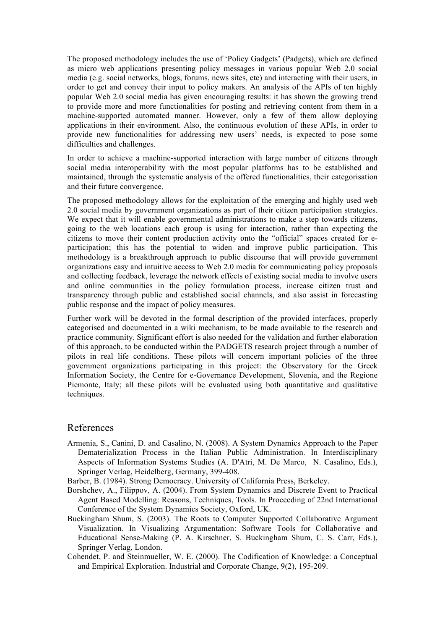The proposed methodology includes the use of 'Policy Gadgets' (Padgets), which are defined as micro web applications presenting policy messages in various popular Web 2.0 social media (e.g. social networks, blogs, forums, news sites, etc) and interacting with their users, in order to get and convey their input to policy makers. An analysis of the APIs of ten highly popular Web 2.0 social media has given encouraging results: it has shown the growing trend to provide more and more functionalities for posting and retrieving content from them in a machine-supported automated manner. However, only a few of them allow deploying applications in their environment. Also, the continuous evolution of these APIs, in order to provide new functionalities for addressing new users' needs, is expected to pose some difficulties and challenges.

In order to achieve a machine-supported interaction with large number of citizens through social media interoperability with the most popular platforms has to be established and maintained, through the systematic analysis of the offered functionalities, their categorisation and their future convergence.

The proposed methodology allows for the exploitation of the emerging and highly used web 2.0 social media by government organizations as part of their citizen participation strategies. We expect that it will enable governmental administrations to make a step towards citizens, going to the web locations each group is using for interaction, rather than expecting the citizens to move their content production activity onto the "official" spaces created for eparticipation; this has the potential to widen and improve public participation. This methodology is a breakthrough approach to public discourse that will provide government organizations easy and intuitive access to Web 2.0 media for communicating policy proposals and collecting feedback, leverage the network effects of existing social media to involve users and online communities in the policy formulation process, increase citizen trust and transparency through public and established social channels, and also assist in forecasting public response and the impact of policy measures.

Further work will be devoted in the formal description of the provided interfaces, properly categorised and documented in a wiki mechanism, to be made available to the research and practice community. Significant effort is also needed for the validation and further elaboration of this approach, to be conducted within the PADGETS research project through a number of pilots in real life conditions. These pilots will concern important policies of the three government organizations participating in this project: the Observatory for the Greek Information Society, the Centre for e-Governance Development, Slovenia, and the Regione Piemonte, Italy; all these pilots will be evaluated using both quantitative and qualitative techniques.

#### References

Armenia, S., Canini, D. and Casalino, N. (2008). A System Dynamics Approach to the Paper Dematerialization Process in the Italian Public Administration. In Interdisciplinary Aspects of Information Systems Studies (A. D'Atri, M. De Marco, N. Casalino, Eds.), Springer Verlag, Heidelberg, Germany, 399-408.

Barber, B. (1984). Strong Democracy. University of California Press, Berkeley.

- Borshchev, A., Filippov, A. (2004). From System Dynamics and Discrete Event to Practical Agent Based Modelling: Reasons, Techniques, Tools. In Proceeding of 22nd International Conference of the System Dynamics Society, Oxford, UK.
- Buckingham Shum, S. (2003). The Roots to Computer Supported Collaborative Argument Visualization. In Visualizing Argumentation: Software Tools for Collaborative and Educational Sense-Making (P. A. Kirschner, S. Buckingham Shum, C. S. Carr, Eds.), Springer Verlag, London.
- Cohendet, P. and Steinmueller, W. E. (2000). The Codification of Knowledge: a Conceptual and Empirical Exploration. Industrial and Corporate Change, 9(2), 195-209.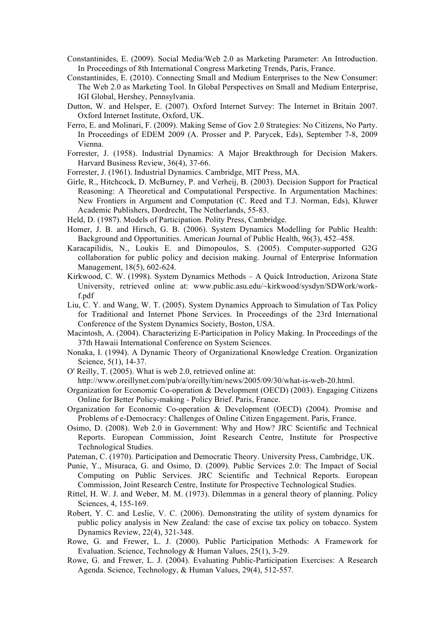- Constantinides, E. (2009). Social Media/Web 2.0 as Marketing Parameter: An Introduction. In Proceedings of 8th International Congress Marketing Trends, Paris, France.
- Constantinides, E. (2010). Connecting Small and Medium Enterprises to the New Consumer: The Web 2.0 as Marketing Tool. In Global Perspectives on Small and Medium Enterprise, IGI Global, Hershey, Pennsylvania.
- Dutton, W. and Helsper, E. (2007). Oxford Internet Survey: The Internet in Britain 2007. Oxford Internet Institute, Oxford, UK.
- Ferro, E. and Molinari, F. (2009). Making Sense of Gov 2.0 Strategies: No Citizens, No Party. In Proceedings of EDEM 2009 (A. Prosser and P. Parycek, Eds), September 7-8, 2009 Vienna.
- Forrester, J. (1958). Industrial Dynamics: A Major Breakthrough for Decision Makers. Harvard Business Review, 36(4), 37-66.
- Forrester, J. (1961). Industrial Dynamics. Cambridge, MIT Press, MA.
- Girle, R., Hitchcock, D. McBurney, P. and Verheij, B. (2003). Decision Support for Practical Reasoning: A Theoretical and Computational Perspective. In Argumentation Machines: New Frontiers in Argument and Computation (C. Reed and T.J. Norman, Eds), Kluwer Academic Publishers, Dordrecht, The Netherlands, 55-83.
- Held, D. (1987). Models of Participation. Polity Press, Cambridge.
- Homer, J. B. and Hirsch, G. B. (2006). System Dynamics Modelling for Public Health: Background and Opportunities. American Journal of Public Health, 96(3), 452–458.
- Karacapilidis, N., Loukis E. and Dimopoulos, S. (2005). Computer-supported G2G collaboration for public policy and decision making. Journal of Enterprise Information Management, 18(5), 602-624.
- Kirkwood, C. W. (1998). System Dynamics Methods A Quick Introduction, Arizona State University, retrieved online at: www.public.asu.edu/~kirkwood/sysdyn/SDWork/workf.pdf
- Liu, C. Y. and Wang, W. T. (2005). System Dynamics Approach to Simulation of Tax Policy for Traditional and Internet Phone Services. In Proceedings of the 23rd International Conference of the System Dynamics Society, Boston, USA.
- Macintosh, A. (2004). Characterizing E-Participation in Policy Making. In Proceedings of the 37th Hawaii International Conference on System Sciences.
- Nonaka, I. (1994). A Dynamic Theory of Organizational Knowledge Creation. Organization Science, 5(1), 14-37.
- O' Reilly, T. (2005). What is web 2.0, retrieved online at:

http://www.oreillynet.com/pub/a/oreilly/tim/news/2005/09/30/what-is-web-20.html.

- Organization for Economic Co-operation & Development (OECD) (2003). Engaging Citizens Online for Better Policy-making - Policy Brief. Paris, France.
- Organization for Economic Co-operation & Development (OECD) (2004). Promise and Problems of e-Democracy: Challenges of Online Citizen Engagement. Paris, France.
- Osimo, D. (2008). Web 2.0 in Government: Why and How? JRC Scientific and Technical Reports. European Commission, Joint Research Centre, Institute for Prospective Technological Studies.
- Pateman, C. (1970). Participation and Democratic Theory. University Press, Cambridge, UK.
- Punie, Y., Misuraca, G. and Osimo, D. (2009). Public Services 2.0: The Impact of Social Computing on Public Services. JRC Scientific and Technical Reports. European Commission, Joint Research Centre, Institute for Prospective Technological Studies.
- Rittel, H. W. J. and Weber, M. M. (1973). Dilemmas in a general theory of planning. Policy Sciences, 4, 155-169.
- Robert, Y. C. and Leslie, V. C. (2006). Demonstrating the utility of system dynamics for public policy analysis in New Zealand: the case of excise tax policy on tobacco. System Dynamics Review, 22(4), 321-348.
- Rowe, G. and Frewer, L. J. (2000). Public Participation Methods: A Framework for Evaluation. Science, Technology & Human Values, 25(1), 3-29.
- Rowe, G. and Frewer, L. J. (2004). Evaluating Public-Participation Exercises: A Research Agenda. Science, Technology, & Human Values, 29(4), 512-557.